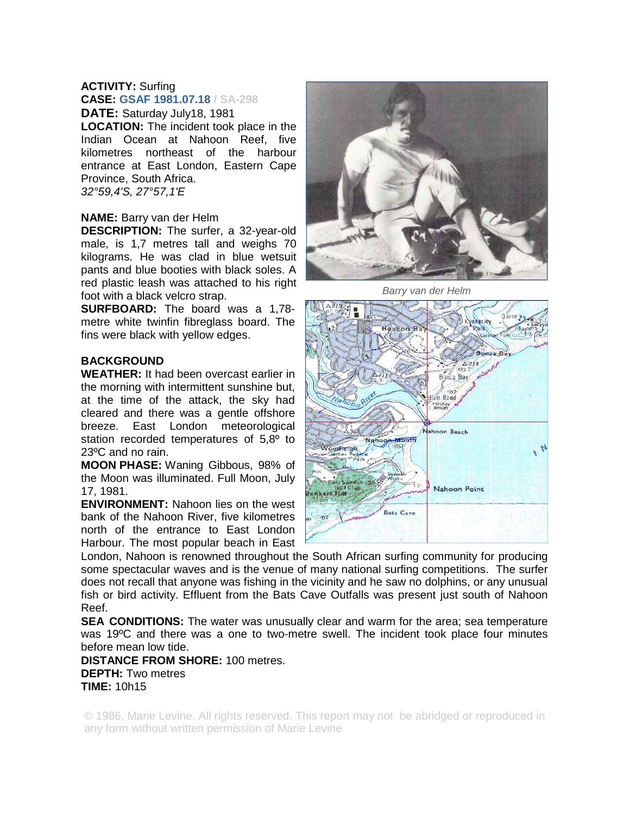## **ACTIVITY:** Surfing **CASE: GSAF 1981.07.18 / SA-298**

**DATE:** Saturday July18, 1981 **LOCATION:** The incident took place in the Indian Ocean at Nahoon Reef, five kilometres northeast of the harbour entrance at East London, Eastern Cape Province, South Africa. *32°59,4'S, 27°57,1'E* 

## **NAME:** Barry van der Helm

**DESCRIPTION:** The surfer, a 32-year-old male, is 1,7 metres tall and weighs 70 kilograms. He was clad in blue wetsuit pants and blue booties with black soles. A red plastic leash was attached to his right foot with a black velcro strap.

**SURFBOARD:** The board was a 1,78 metre white twinfin fibreglass board. The fins were black with yellow edges.

## **BACKGROUND**

**WEATHER:** It had been overcast earlier in the morning with intermittent sunshine but, at the time of the attack, the sky had cleared and there was a gentle offshore breeze. East London meteorological station recorded temperatures of 5,8<sup>°</sup> to 23ºC and no rain.

**MOON PHASE:** Waning Gibbous, 98% of the Moon was illuminated. Full Moon, July 17, 1981.

**ENVIRONMENT:** Nahoon lies on the west bank of the Nahoon River, five kilometres north of the entrance to East London Harbour. The most popular beach in East



*Barry van der Helm* 



London, Nahoon is renowned throughout the South African surfing community for producing some spectacular waves and is the venue of many national surfing competitions. The surfer does not recall that anyone was fishing in the vicinity and he saw no dolphins, or any unusual fish or bird activity. Effluent from the Bats Cave Outfalls was present just south of Nahoon Reef.

**SEA CONDITIONS:** The water was unusually clear and warm for the area; sea temperature was 19ºC and there was a one to two-metre swell. The incident took place four minutes before mean low tide.

**DISTANCE FROM SHORE:** 100 metres. **DEPTH:** Two metres **TIME:** 10h15

© 1986, Marie Levine. All rights reserved. This report may not be abridged or reproduced in any form without written permission of Marie Levine